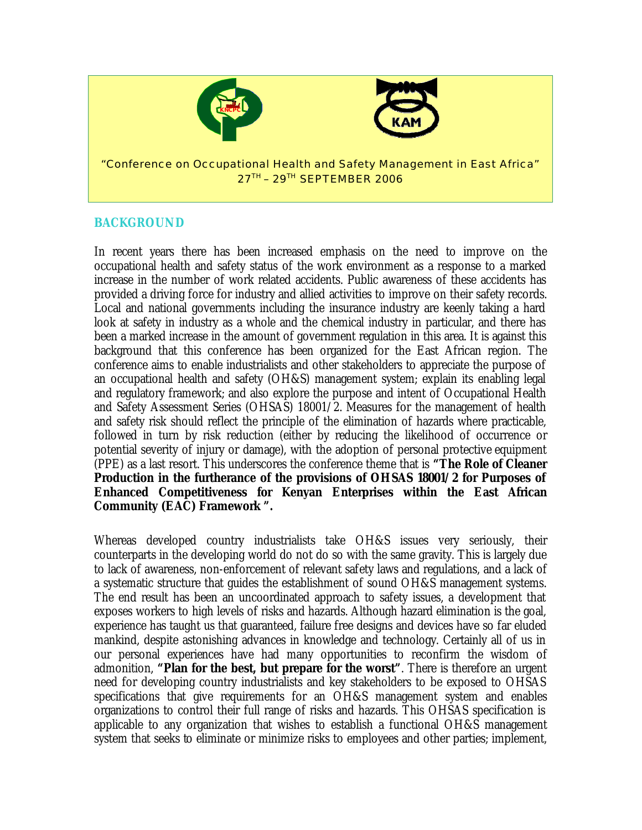

### **BACKGROUND**

In recent years there has been increased emphasis on the need to improve on the occupational health and safety status of the work environment as a response to a marked increase in the number of work related accidents. Public awareness of these accidents has provided a driving force for industry and allied activities to improve on their safety records. Local and national governments including the insurance industry are keenly taking a hard look at safety in industry as a whole and the chemical industry in particular, and there has been a marked increase in the amount of government regulation in this area. It is against this background that this conference has been organized for the East African region. The conference aims to enable industrialists and other stakeholders to appreciate the purpose of an occupational health and safety (OH&S) management system; explain its enabling legal and regulatory framework; and also explore the purpose and intent of Occupational Health and Safety Assessment Series (OHSAS) 18001/2. Measures for the management of health and safety risk should reflect the principle of the elimination of hazards where practicable, followed in turn by risk reduction (either by reducing the likelihood of occurrence or potential severity of injury or damage), with the adoption of personal protective equipment (PPE) as a last resort. This underscores the conference theme that is **"The Role of Cleaner Production in the furtherance of the provisions of OHSAS 18001/2 for Purposes of Enhanced Competitiveness for Kenyan Enterprises within the East African Community (EAC) Framework ".** 

Whereas developed country industrialists take OH&S issues very seriously, their counterparts in the developing world do not do so with the same gravity. This is largely due to lack of awareness, non-enforcement of relevant safety laws and regulations, and a lack of a systematic structure that guides the establishment of sound OH&S management systems. The end result has been an uncoordinated approach to safety issues, a development that exposes workers to high levels of risks and hazards. Although hazard elimination is the goal, experience has taught us that guaranteed, failure free designs and devices have so far eluded mankind, despite astonishing advances in knowledge and technology. Certainly all of us in our personal experiences have had many opportunities to reconfirm the wisdom of admonition, **"Plan for the best, but prepare for the worst"**. There is therefore an urgent need for developing country industrialists and key stakeholders to be exposed to OHSAS specifications that give requirements for an OH&S management system and enables organizations to control their full range of risks and hazards. This OHSAS specification is applicable to any organization that wishes to establish a functional OH&S management system that seeks to eliminate or minimize risks to employees and other parties; implement,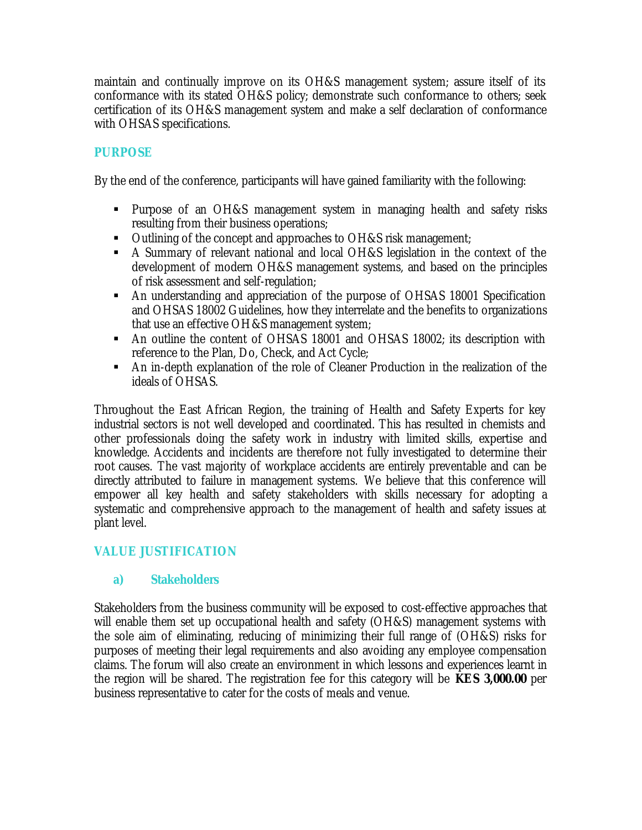maintain and continually improve on its OH&S management system; assure itself of its conformance with its stated OH&S policy; demonstrate such conformance to others; seek certification of its OH&S management system and make a self declaration of conformance with OHSAS specifications.

# **PURPOSE**

By the end of the conference, participants will have gained familiarity with the following:

- Purpose of an OH&S management system in managing health and safety risks resulting from their business operations;
- U Outlining of the concept and approaches to OH&S risk management;
- A Summary of relevant national and local OH&S legislation in the context of the development of modern OH&S management systems, and based on the principles of risk assessment and self-regulation;
- An understanding and appreciation of the purpose of OHSAS 18001 Specification and OHSAS 18002 Guidelines, how they interrelate and the benefits to organizations that use an effective OH&S management system;
- An outline the content of OHSAS 18001 and OHSAS 18002; its description with reference to the Plan, Do, Check, and Act Cycle;
- An in-depth explanation of the role of Cleaner Production in the realization of the ideals of OHSAS.

Throughout the East African Region, the training of Health and Safety Experts for key industrial sectors is not well developed and coordinated. This has resulted in chemists and other professionals doing the safety work in industry with limited skills, expertise and knowledge. Accidents and incidents are therefore not fully investigated to determine their root causes. The vast majority of workplace accidents are entirely preventable and can be directly attributed to failure in management systems. We believe that this conference will empower all key health and safety stakeholders with skills necessary for adopting a systematic and comprehensive approach to the management of health and safety issues at plant level.

## **VALUE JUSTIFICATION**

## **a) Stakeholders**

Stakeholders from the business community will be exposed to cost-effective approaches that will enable them set up occupational health and safety (OH&S) management systems with the sole aim of eliminating, reducing of minimizing their full range of (OH&S) risks for purposes of meeting their legal requirements and also avoiding any employee compensation claims. The forum will also create an environment in which lessons and experiences learnt in the region will be shared. The registration fee for this category will be **KES 3,000.00** per business representative to cater for the costs of meals and venue.